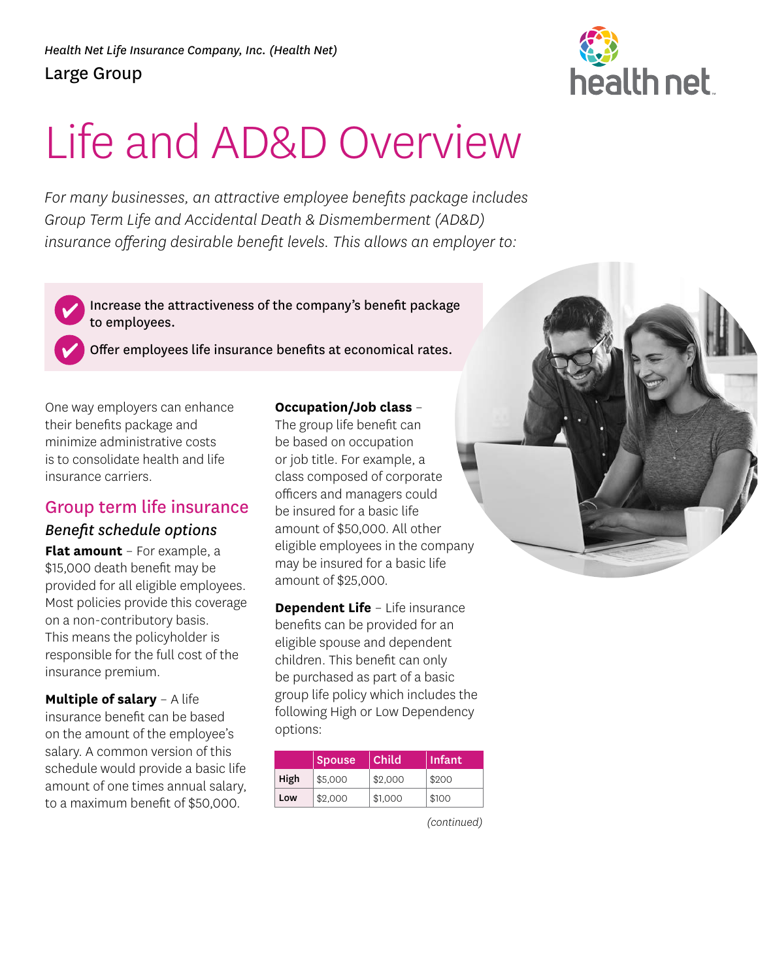# health net

# $\overline{\phantom{a}}$ Life and AD&D Overview

*For many businesses, an attractive employee benefits package includes Group Term Life and Accidental Death & Dismemberment (AD&D) insurance offering desirable benefit levels. This allows an employer to:* 

Increase the attractiveness of the company's benefit package to employees.

Offer employees life insurance benefits at economical rates.

One way employers can enhance their benefits package and minimize administrative costs is to consolidate health and life insurance carriers.

# Group term life insurance

#### *Benefit schedule options*

**Flat amount** – For example, a \$15,000 death benefit may be provided for all eligible employees. Most policies provide this coverage on a non-contributory basis. This means the policyholder is responsible for the full cost of the insurance premium.

#### **Multiple of salary** – A life

insurance benefit can be based on the amount of the employee's salary. A common version of this schedule would provide a basic life amount of one times annual salary, to a maximum benefit of \$50,000.

#### **Occupation/Job class** –

The group life benefit can be based on occupation or job title. For example, a class composed of corporate officers and managers could be insured for a basic life amount of \$50,000. All other eligible employees in the company may be insured for a basic life amount of \$25,000.

**Dependent Life** – Life insurance benefits can be provided for an eligible spouse and dependent children. This benefit can only be purchased as part of a basic group life policy which includes the following High or Low Dependency options:

|      | <b>Spouse</b> | <b>Child</b> | Infant |
|------|---------------|--------------|--------|
| High | \$5,000       | \$2,000      | \$200  |
| Low  | \$2,000       | \$1,000      | \$100  |

*(continued)*